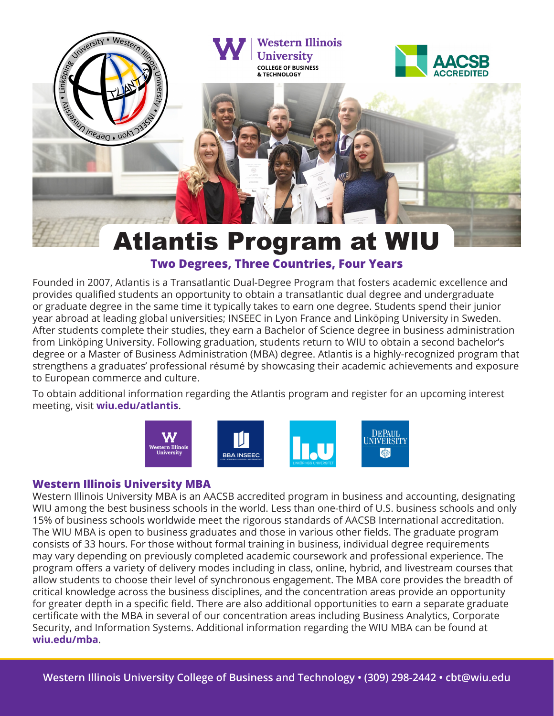

### **Two Degrees, Three Countries, Four Years**

Founded in 2007, Atlantis is a Transatlantic Dual-Degree Program that fosters academic excellence and provides qualified students an opportunity to obtain a transatlantic dual degree and undergraduate or graduate degree in the same time it typically takes to earn one degree. Students spend their junior year abroad at leading global universities; INSEEC in Lyon France and Linköping University in Sweden. After students complete their studies, they earn a Bachelor of Science degree in business administration from Linköping University. Following graduation, students return to WIU to obtain a second bachelor's degree or a Master of Business Administration (MBA) degree. Atlantis is a highly-recognized program that strengthens a graduates' professional résumé by showcasing their academic achievements and exposure to European commerce and culture.

To obtain additional information regarding the Atlantis program and register for an upcoming interest meeting, visit **wiu.edu/atlantis**.



#### **Western Illinois University MBA**

Western Illinois University MBA is an AACSB accredited program in business and accounting, designating WIU among the best business schools in the world. Less than one-third of U.S. business schools and only 15% of business schools worldwide meet the rigorous standards of AACSB International accreditation. The WIU MBA is open to business graduates and those in various other fields. The graduate program consists of 33 hours. For those without formal training in business, individual degree requirements may vary depending on previously completed academic coursework and professional experience. The program offers a variety of delivery modes including in class, online, hybrid, and livestream courses that allow students to choose their level of synchronous engagement. The MBA core provides the breadth of critical knowledge across the business disciplines, and the concentration areas provide an opportunity for greater depth in a specific field. There are also additional opportunities to earn a separate graduate certificate with the MBA in several of our concentration areas including Business Analytics, Corporate Security, and Information Systems. Additional information regarding the WIU MBA can be found at **wiu.edu/mba**.